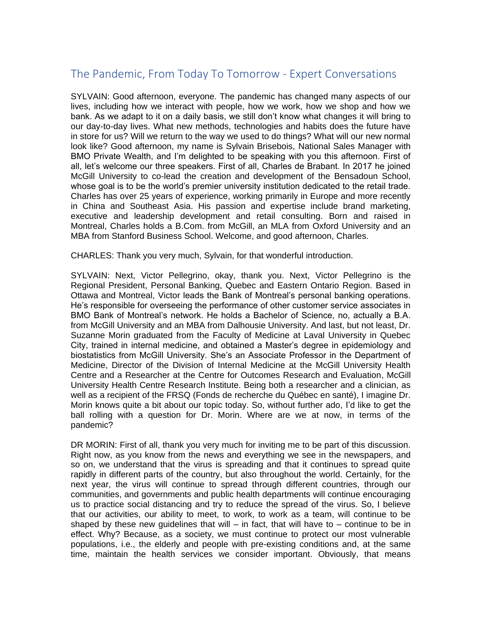## The Pandemic, From Today To Tomorrow - Expert Conversations

 whose goal is to be the world's premier university institution dedicated to the retail trade. SYLVAIN: Good afternoon, everyone. The pandemic has changed many aspects of our lives, including how we interact with people, how we work, how we shop and how we bank. As we adapt to it on a daily basis, we still don't know what changes it will bring to our day-to-day lives. What new methods, technologies and habits does the future have in store for us? Will we return to the way we used to do things? What will our new normal look like? Good afternoon, my name is Sylvain Brisebois, National Sales Manager with BMO Private Wealth, and I'm delighted to be speaking with you this afternoon. First of all, let's welcome our three speakers. First of all, Charles de Brabant. In 2017 he joined McGill University to co-lead the creation and development of the Bensadoun School, Charles has over 25 years of experience, working primarily in Europe and more recently in China and Southeast Asia. His passion and expertise include brand marketing, executive and leadership development and retail consulting. Born and raised in Montreal, Charles holds a B.Com. from McGill, an MLA from Oxford University and an MBA from Stanford Business School. Welcome, and good afternoon, Charles.

CHARLES: Thank you very much, Sylvain, for that wonderful introduction.

 Ottawa and Montreal, Victor leads the Bank of Montreal's personal banking operations. He's responsible for overseeing the performance of other customer service associates in City, trained in internal medicine, and obtained a Master's degree in epidemiology and Morin knows quite a bit about our topic today. So, without further ado, I'd like to get the SYLVAIN: Next, Victor Pellegrino, okay, thank you. Next, Victor Pellegrino is the Regional President, Personal Banking, Quebec and Eastern Ontario Region. Based in BMO Bank of Montreal's network. He holds a Bachelor of Science, no, actually a B.A. from McGill University and an MBA from Dalhousie University. And last, but not least, Dr. Suzanne Morin graduated from the Faculty of Medicine at Laval University in Quebec biostatistics from McGill University. She's an Associate Professor in the Department of Medicine, Director of the Division of Internal Medicine at the McGill University Health Centre and a Researcher at the Centre for Outcomes Research and Evaluation, McGill University Health Centre Research Institute. Being both a researcher and a clinician, as well as a recipient of the FRSQ (Fonds de recherche du Québec en santé), I imagine Dr. ball rolling with a question for Dr. Morin. Where are we at now, in terms of the pandemic?

DR MORIN: First of all, thank you very much for inviting me to be part of this discussion. Right now, as you know from the news and everything we see in the newspapers, and so on, we understand that the virus is spreading and that it continues to spread quite rapidly in different parts of the country, but also throughout the world. Certainly, for the next year, the virus will continue to spread through different countries, through our communities, and governments and public health departments will continue encouraging us to practice social distancing and try to reduce the spread of the virus. So, I believe that our activities, our ability to meet, to work, to work as a team, will continue to be shaped by these new quidelines that will – in fact, that will have to – continue to be in effect. Why? Because, as a society, we must continue to protect our most vulnerable populations, i.e., the elderly and people with pre-existing conditions and, at the same time, maintain the health services we consider important. Obviously, that means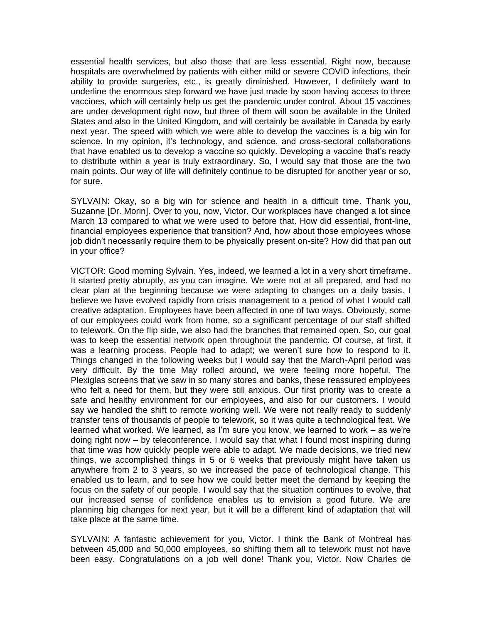that have enabled us to develop a vaccine so quickly. Developing a vaccine that's ready essential health services, but also those that are less essential. Right now, because hospitals are overwhelmed by patients with either mild or severe COVID infections, their ability to provide surgeries, etc., is greatly diminished. However, I definitely want to underline the enormous step forward we have just made by soon having access to three vaccines, which will certainly help us get the pandemic under control. About 15 vaccines are under development right now, but three of them will soon be available in the United States and also in the United Kingdom, and will certainly be available in Canada by early next year. The speed with which we were able to develop the vaccines is a big win for science. In my opinion, it's technology, and science, and cross-sectoral collaborations to distribute within a year is truly extraordinary. So, I would say that those are the two main points. Our way of life will definitely continue to be disrupted for another year or so, for sure.

SYLVAIN: Okay, so a big win for science and health in a difficult time. Thank you, Suzanne [Dr. Morin]. Over to you, now, Victor. Our workplaces have changed a lot since March 13 compared to what we were used to before that. How did essential, front-line, financial employees experience that transition? And, how about those employees whose job didn't necessarily require them to be physically present on-site? How did that pan out in your office?

 was a learning process. People had to adapt; we weren't sure how to respond to it. learned what worked. We learned, as I'm sure you know, we learned to work – as we're VICTOR: Good morning Sylvain. Yes, indeed, we learned a lot in a very short timeframe. It started pretty abruptly, as you can imagine. We were not at all prepared, and had no clear plan at the beginning because we were adapting to changes on a daily basis. I believe we have evolved rapidly from crisis management to a period of what I would call creative adaptation. Employees have been affected in one of two ways. Obviously, some of our employees could work from home, so a significant percentage of our staff shifted to telework. On the flip side, we also had the branches that remained open. So, our goal was to keep the essential network open throughout the pandemic. Of course, at first, it Things changed in the following weeks but I would say that the March-April period was very difficult. By the time May rolled around, we were feeling more hopeful. The Plexiglas screens that we saw in so many stores and banks, these reassured employees who felt a need for them, but they were still anxious. Our first priority was to create a safe and healthy environment for our employees, and also for our customers. I would say we handled the shift to remote working well. We were not really ready to suddenly transfer tens of thousands of people to telework, so it was quite a technological feat. We doing right now – by teleconference. I would say that what I found most inspiring during that time was how quickly people were able to adapt. We made decisions, we tried new things, we accomplished things in 5 or 6 weeks that previously might have taken us anywhere from 2 to 3 years, so we increased the pace of technological change. This enabled us to learn, and to see how we could better meet the demand by keeping the focus on the safety of our people. I would say that the situation continues to evolve, that our increased sense of confidence enables us to envision a good future. We are planning big changes for next year, but it will be a different kind of adaptation that will take place at the same time.

SYLVAIN: A fantastic achievement for you, Victor. I think the Bank of Montreal has between 45,000 and 50,000 employees, so shifting them all to telework must not have been easy. Congratulations on a job well done! Thank you, Victor. Now Charles de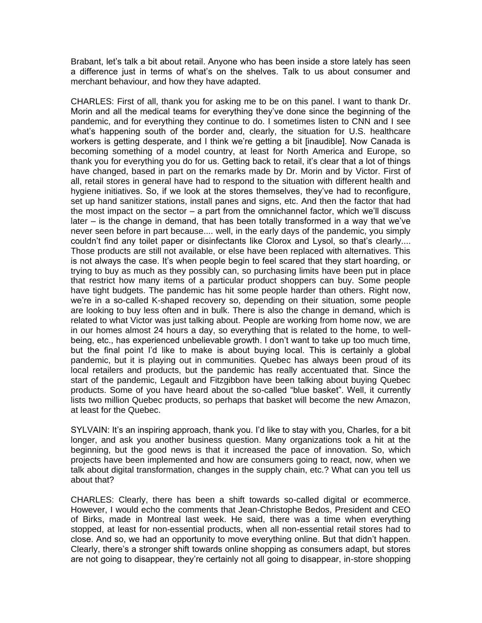Brabant, let's talk a bit about retail. Anyone who has been inside a store lately has seen a difference just in terms of what's on the shelves. Talk to us about consumer and merchant behaviour, and how they have adapted.

 Morin and all the medical teams for everything they've done since the beginning of the workers is getting desperate, and I think we're getting a bit [inaudible]. Now Canada is thank you for everything you do for us. Getting back to retail, it's clear that a lot of things hygiene initiatives. So, if we look at the stores themselves, they've had to reconfigure, later – is the change in demand, that has been totally transformed in a way that we've couldn't find any toilet paper or disinfectants like Clorox and Lysol, so that's clearly.... is not always the case. It's when people begin to feel scared that they start hoarding, or being, etc., has experienced unbelievable growth. I don't want to take up too much time, but the final point I'd like to make is about buying local. This is certainly a global CHARLES: First of all, thank you for asking me to be on this panel. I want to thank Dr. pandemic, and for everything they continue to do. I sometimes listen to CNN and I see what's happening south of the border and, clearly, the situation for U.S. healthcare becoming something of a model country, at least for North America and Europe, so have changed, based in part on the remarks made by Dr. Morin and by Victor. First of all, retail stores in general have had to respond to the situation with different health and set up hand sanitizer stations, install panes and signs, etc. And then the factor that had the most impact on the sector – a part from the omnichannel factor, which we'll discuss never seen before in part because.... well, in the early days of the pandemic, you simply Those products are still not available, or else have been replaced with alternatives. This trying to buy as much as they possibly can, so purchasing limits have been put in place that restrict how many items of a particular product shoppers can buy. Some people have tight budgets. The pandemic has hit some people harder than others. Right now, we're in a so-called K-shaped recovery so, depending on their situation, some people are looking to buy less often and in bulk. There is also the change in demand, which is related to what Victor was just talking about. People are working from home now, we are in our homes almost 24 hours a day, so everything that is related to the home, to wellpandemic, but it is playing out in communities. Quebec has always been proud of its local retailers and products, but the pandemic has really accentuated that. Since the start of the pandemic, Legault and Fitzgibbon have been talking about buying Quebec products. Some of you have heard about the so-called "blue basket". Well, it currently lists two million Quebec products, so perhaps that basket will become the new Amazon, at least for the Quebec.

SYLVAIN: It's an inspiring approach, thank you. I'd like to stay with you, Charles, for a bit longer, and ask you another business question. Many organizations took a hit at the beginning, but the good news is that it increased the pace of innovation. So, which projects have been implemented and how are consumers going to react, now, when we talk about digital transformation, changes in the supply chain, etc.? What can you tell us about that?

 close. And so, we had an opportunity to move everything online. But that didn't happen. Clearly, there's a stronger shift towards online shopping as consumers adapt, but stores are not going to disappear, they're certainly not all going to disappear, in-store shopping CHARLES: Clearly, there has been a shift towards so-called digital or ecommerce. However, I would echo the comments that Jean-Christophe Bedos, President and CEO of Birks, made in Montreal last week. He said, there was a time when everything stopped, at least for non-essential products, when all non-essential retail stores had to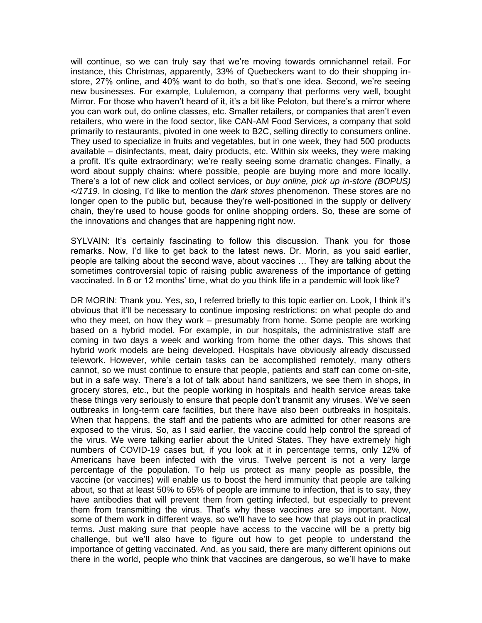store, 27% online, and 40% want to do both, so that's one idea. Second, we're seeing Mirror. For those who haven't heard of it, it's a bit like Peloton, but there's a mirror where will continue, so we can truly say that we're moving towards omnichannel retail. For instance, this Christmas, apparently, 33% of Quebeckers want to do their shopping innew businesses. For example, Lululemon, a company that performs very well, bought you can work out, do online classes, etc. Smaller retailers, or companies that aren't even retailers, who were in the food sector, like CAN-AM Food Services, a company that sold primarily to restaurants, pivoted in one week to B2C, selling directly to consumers online. They used to specialize in fruits and vegetables, but in one week, they had 500 products available – disinfectants, meat, dairy products, etc. Within six weeks, they were making a profit. It's quite extraordinary; we're really seeing some dramatic changes. Finally, a word about supply chains: where possible, people are buying more and more locally. There's a lot of new click and collect services, or *buy online, pick up in-store (BOPUS) </1719*. In closing, I'd like to mention the *dark stores* phenomenon. These stores are no longer open to the public but, because they're well-positioned in the supply or delivery chain, they're used to house goods for online shopping orders. So, these are some of the innovations and changes that are happening right now.

 remarks. Now, I'd like to get back to the latest news. Dr. Morin, as you said earlier, people are talking about the second wave, about vaccines … They are talking about the vaccinated. In 6 or 12 months' time, what do you think life in a pandemic will look like? SYLVAIN: It's certainly fascinating to follow this discussion. Thank you for those sometimes controversial topic of raising public awareness of the importance of getting

 DR MORIN: Thank you. Yes, so, I referred briefly to this topic earlier on. Look, I think it's obvious that it'll be necessary to continue imposing restrictions: on what people do and but in a safe way. There's a lot of talk about hand sanitizers, we see them in shops, in these things very seriously to ensure that people don't transmit any viruses. We've seen them from transmitting the virus. That's why these vaccines are so important. Now, some of them work in different ways, so we'll have to see how that plays out in practical challenge, but we'll also have to figure out how to get people to understand the there in the world, people who think that vaccines are dangerous, so we'll have to make who they meet, on how they work – presumably from home. Some people are working based on a hybrid model. For example, in our hospitals, the administrative staff are coming in two days a week and working from home the other days. This shows that hybrid work models are being developed. Hospitals have obviously already discussed telework. However, while certain tasks can be accomplished remotely, many others cannot, so we must continue to ensure that people, patients and staff can come on-site, grocery stores, etc., but the people working in hospitals and health service areas take outbreaks in long-term care facilities, but there have also been outbreaks in hospitals. When that happens, the staff and the patients who are admitted for other reasons are exposed to the virus. So, as I said earlier, the vaccine could help control the spread of the virus. We were talking earlier about the United States. They have extremely high numbers of COVID-19 cases but, if you look at it in percentage terms, only 12% of Americans have been infected with the virus. Twelve percent is not a very large percentage of the population. To help us protect as many people as possible, the vaccine (or vaccines) will enable us to boost the herd immunity that people are talking about, so that at least 50% to 65% of people are immune to infection, that is to say, they have antibodies that will prevent them from getting infected, but especially to prevent terms. Just making sure that people have access to the vaccine will be a pretty big importance of getting vaccinated. And, as you said, there are many different opinions out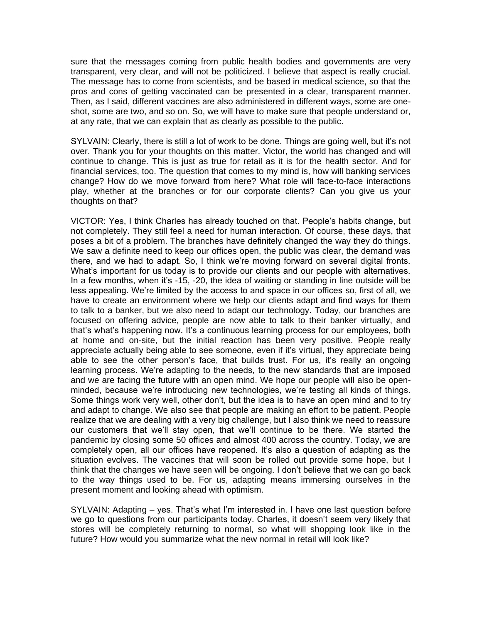sure that the messages coming from public health bodies and governments are very transparent, very clear, and will not be politicized. I believe that aspect is really crucial. The message has to come from scientists, and be based in medical science, so that the pros and cons of getting vaccinated can be presented in a clear, transparent manner. Then, as I said, different vaccines are also administered in different ways, some are oneshot, some are two, and so on. So, we will have to make sure that people understand or, at any rate, that we can explain that as clearly as possible to the public.

 SYLVAIN: Clearly, there is still a lot of work to be done. Things are going well, but it's not over. Thank you for your thoughts on this matter. Victor, the world has changed and will continue to change. This is just as true for retail as it is for the health sector. And for financial services, too. The question that comes to my mind is, how will banking services change? How do we move forward from here? What role will face-to-face interactions play, whether at the branches or for our corporate clients? Can you give us your thoughts on that?

 VICTOR: Yes, I think Charles has already touched on that. People's habits change, but there, and we had to adapt. So, I think we're moving forward on several digital fronts. What's important for us today is to provide our clients and our people with alternatives. In a few months, when it's -15, -20, the idea of waiting or standing in line outside will be less appealing. We're limited by the access to and space in our offices so, first of all, we that's what's happening now. It's a continuous learning process for our employees, both able to see the other person's face, that builds trust. For us, it's really an ongoing learning process. We're adapting to the needs, to the new standards that are imposed minded, because we're introducing new technologies, we're testing all kinds of things. Some things work very well, other don't, but the idea is to have an open mind and to try our customers that we'll stay open, that we'll continue to be there. We started the completely open, all our offices have reopened. It's also a question of adapting as the not completely. They still feel a need for human interaction. Of course, these days, that poses a bit of a problem. The branches have definitely changed the way they do things. We saw a definite need to keep our offices open, the public was clear, the demand was have to create an environment where we help our clients adapt and find ways for them to talk to a banker, but we also need to adapt our technology. Today, our branches are focused on offering advice, people are now able to talk to their banker virtually, and at home and on-site, but the initial reaction has been very positive. People really appreciate actually being able to see someone, even if it's virtual, they appreciate being and we are facing the future with an open mind. We hope our people will also be openand adapt to change. We also see that people are making an effort to be patient. People realize that we are dealing with a very big challenge, but I also think we need to reassure pandemic by closing some 50 offices and almost 400 across the country. Today, we are situation evolves. The vaccines that will soon be rolled out provide some hope, but I think that the changes we have seen will be ongoing. I don't believe that we can go back to the way things used to be. For us, adapting means immersing ourselves in the present moment and looking ahead with optimism.

 SYLVAIN: Adapting – yes. That's what I'm interested in. I have one last question before we go to questions from our participants today. Charles, it doesn't seem very likely that stores will be completely returning to normal, so what will shopping look like in the future? How would you summarize what the new normal in retail will look like?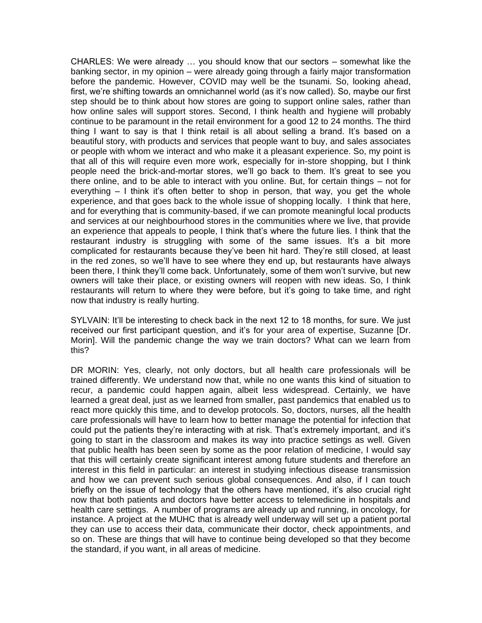CHARLES: We were already … you should know that our sectors – somewhat like the thing I want to say is that I think retail is all about selling a brand. It's based on a people need the brick-and-mortar stores, we'll go back to them. It's great to see you everything – I think it's often better to shop in person, that way, you get the whole restaurant industry is struggling with some of the same issues. It's a bit more complicated for restaurants because they've been hit hard. They're still closed, at least in the red zones, so we'll have to see where they end up, but restaurants have always restaurants will return to where they were before, but it's going to take time, and right banking sector, in my opinion – were already going through a fairly major transformation before the pandemic. However, COVID may well be the tsunami. So, looking ahead, first, we're shifting towards an omnichannel world (as it's now called). So, maybe our first step should be to think about how stores are going to support online sales, rather than how online sales will support stores. Second, I think health and hygiene will probably continue to be paramount in the retail environment for a good 12 to 24 months. The third beautiful story, with products and services that people want to buy, and sales associates or people with whom we interact and who make it a pleasant experience. So, my point is that all of this will require even more work, especially for in-store shopping, but I think there online, and to be able to interact with you online. But, for certain things – not for experience, and that goes back to the whole issue of shopping locally. I think that here, and for everything that is community-based, if we can promote meaningful local products and services at our neighbourhood stores in the communities where we live, that provide an experience that appeals to people, I think that's where the future lies. I think that the been there, I think they'll come back. Unfortunately, some of them won't survive, but new owners will take their place, or existing owners will reopen with new ideas. So, I think now that industry is really hurting.

 SYLVAIN: It'll be interesting to check back in the next 12 to 18 months, for sure. We just received our first participant question, and it's for your area of expertise, Suzanne [Dr. Morin]. Will the pandemic change the way we train doctors? What can we learn from this?

 briefly on the issue of technology that the others have mentioned, it's also crucial right DR MORIN: Yes, clearly, not only doctors, but all health care professionals will be trained differently. We understand now that, while no one wants this kind of situation to recur, a pandemic could happen again, albeit less widespread. Certainly, we have learned a great deal, just as we learned from smaller, past pandemics that enabled us to react more quickly this time, and to develop protocols. So, doctors, nurses, all the health care professionals will have to learn how to better manage the potential for infection that could put the patients they're interacting with at risk. That's extremely important, and it's going to start in the classroom and makes its way into practice settings as well. Given that public health has been seen by some as the poor relation of medicine, I would say that this will certainly create significant interest among future students and therefore an interest in this field in particular: an interest in studying infectious disease transmission and how we can prevent such serious global consequences. And also, if I can touch now that both patients and doctors have better access to telemedicine in hospitals and health care settings. A number of programs are already up and running, in oncology, for instance. A project at the MUHC that is already well underway will set up a patient portal they can use to access their data, communicate their doctor, check appointments, and so on. These are things that will have to continue being developed so that they become the standard, if you want, in all areas of medicine.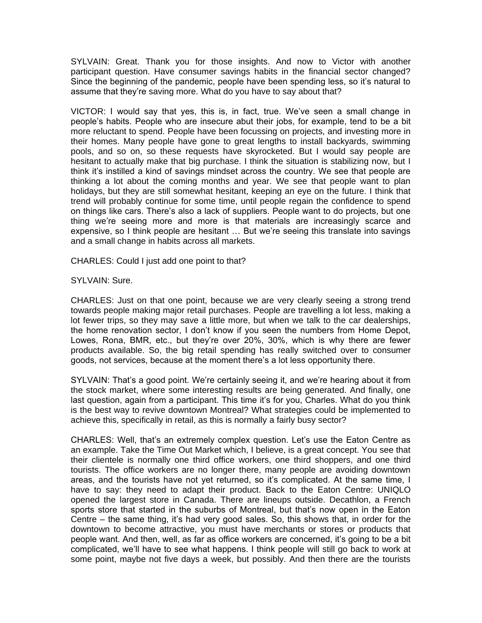Since the beginning of the pandemic, people have been spending less, so it's natural to SYLVAIN: Great. Thank you for those insights. And now to Victor with another participant question. Have consumer savings habits in the financial sector changed? assume that they're saving more. What do you have to say about that?

 VICTOR: I would say that yes, this is, in fact, true. We've seen a small change in people's habits. People who are insecure abut their jobs, for example, tend to be a bit on things like cars. There's also a lack of suppliers. People want to do projects, but one expensive, so I think people are hesitant … But we're seeing this translate into savings more reluctant to spend. People have been focussing on projects, and investing more in their homes. Many people have gone to great lengths to install backyards, swimming pools, and so on, so these requests have skyrocketed. But I would say people are hesitant to actually make that big purchase. I think the situation is stabilizing now, but I think it's instilled a kind of savings mindset across the country. We see that people are thinking a lot about the coming months and year. We see that people want to plan holidays, but they are still somewhat hesitant, keeping an eye on the future. I think that trend will probably continue for some time, until people regain the confidence to spend thing we're seeing more and more is that materials are increasingly scarce and and a small change in habits across all markets.

CHARLES: Could I just add one point to that?

SYLVAIN: Sure.

 the home renovation sector, I don't know if you seen the numbers from Home Depot, CHARLES: Just on that one point, because we are very clearly seeing a strong trend towards people making major retail purchases. People are travelling a lot less, making a lot fewer trips, so they may save a little more, but when we talk to the car dealerships, Lowes, Rona, BMR, etc., but they're over 20%, 30%, which is why there are fewer products available. So, the big retail spending has really switched over to consumer goods, not services, because at the moment there's a lot less opportunity there.

 SYLVAIN: That's a good point. We're certainly seeing it, and we're hearing about it from the stock market, where some interesting results are being generated. And finally, one last question, again from a participant. This time it's for you, Charles. What do you think is the best way to revive downtown Montreal? What strategies could be implemented to achieve this, specifically in retail, as this is normally a fairly busy sector?

 sports store that started in the suburbs of Montreal, but that's now open in the Eaton Centre – the same thing, it's had very good sales. So, this shows that, in order for the people want. And then, well, as far as office workers are concerned, it's going to be a bit complicated, we'll have to see what happens. I think people will still go back to work at CHARLES: Well, that's an extremely complex question. Let's use the Eaton Centre as an example. Take the Time Out Market which, I believe, is a great concept. You see that their clientele is normally one third office workers, one third shoppers, and one third tourists. The office workers are no longer there, many people are avoiding downtown areas, and the tourists have not yet returned, so it's complicated. At the same time, I have to say: they need to adapt their product. Back to the Eaton Centre: UNIQLO opened the largest store in Canada. There are lineups outside. Decathlon, a French downtown to become attractive, you must have merchants or stores or products that some point, maybe not five days a week, but possibly. And then there are the tourists